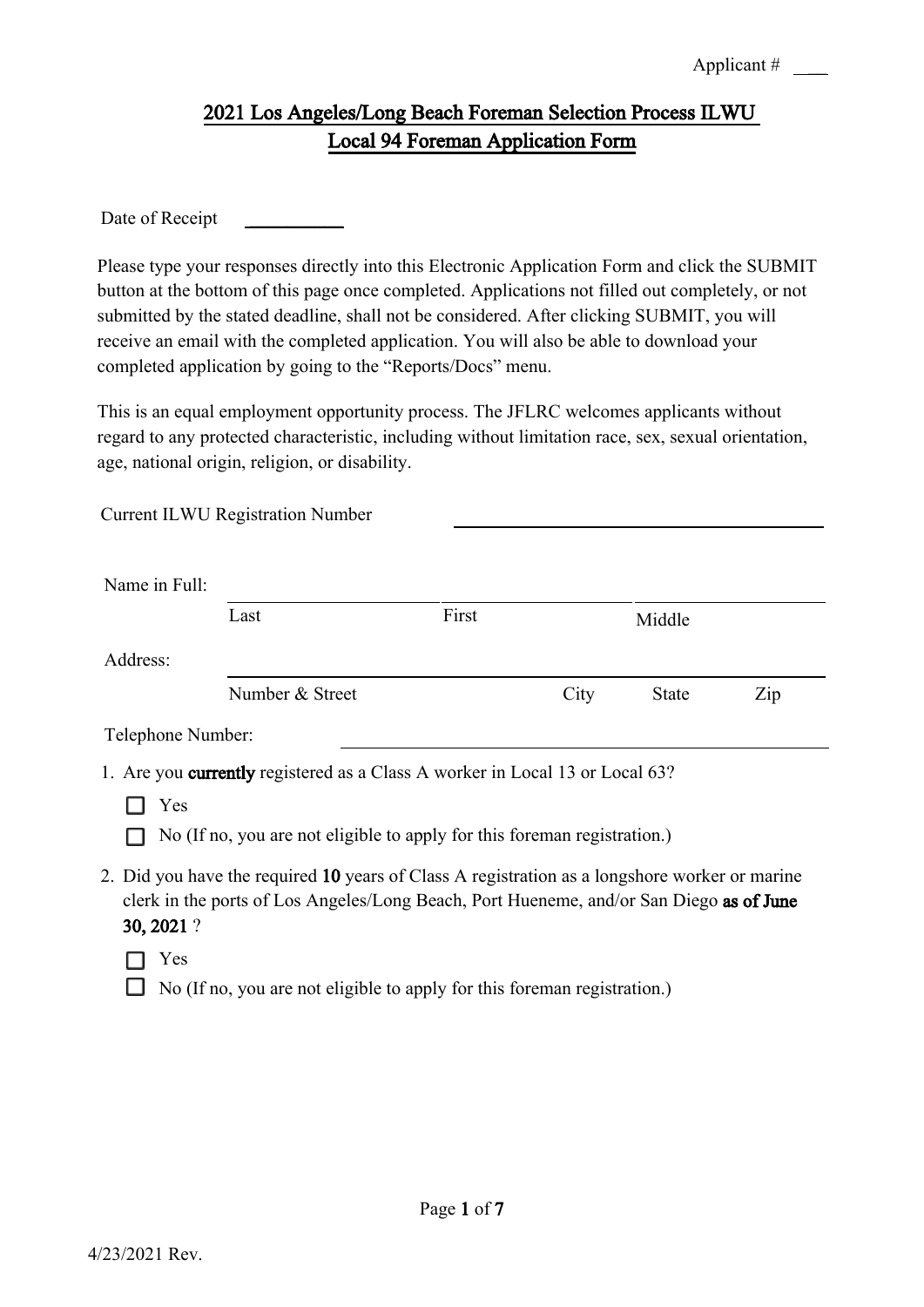## 2021 Los Angeles/Long Beach Foreman Selection Process ILWU Local 94 Foreman Application Form

Date of Receipt

Current ILWU Registration Number

Please type your responses directly into this Electronic Application Form and click the SUBMIT button at the bottom of this page once completed. Applications not filled out completely, or not submitted by the stated deadline, shall not be considered. After clicking SUBMIT, you will receive an email with the completed application. You will also be able to download your completed application by going to the "Reports/Docs" menu.

This is an equal employment opportunity process. The JFLRC welcomes applicants without regard to any protected characteristic, including without limitation race, sex, sexual orientation, age, national origin, religion, or disability.

| Name in Full:                                                                                                                                                                                          |                 |       |      |              |     |  |
|--------------------------------------------------------------------------------------------------------------------------------------------------------------------------------------------------------|-----------------|-------|------|--------------|-----|--|
|                                                                                                                                                                                                        | Last            | First |      | Middle       |     |  |
| Address:                                                                                                                                                                                               |                 |       |      |              |     |  |
|                                                                                                                                                                                                        | Number & Street |       | City | <b>State</b> | Zip |  |
| Telephone Number:                                                                                                                                                                                      |                 |       |      |              |     |  |
| 1. Are you currently registered as a Class A worker in Local 13 or Local 63?                                                                                                                           |                 |       |      |              |     |  |
| Yes                                                                                                                                                                                                    |                 |       |      |              |     |  |
| No (If no, you are not eligible to apply for this foreman registration.)                                                                                                                               |                 |       |      |              |     |  |
| 2. Did you have the required 10 years of Class A registration as a longshore worker or marine<br>clerk in the ports of Los Angeles/Long Beach, Port Hueneme, and/or San Diego as of June<br>30, 2021 ? |                 |       |      |              |     |  |

 $\Box$  Yes

 $\Box$  No (If no, you are not eligible to apply for this foreman registration.)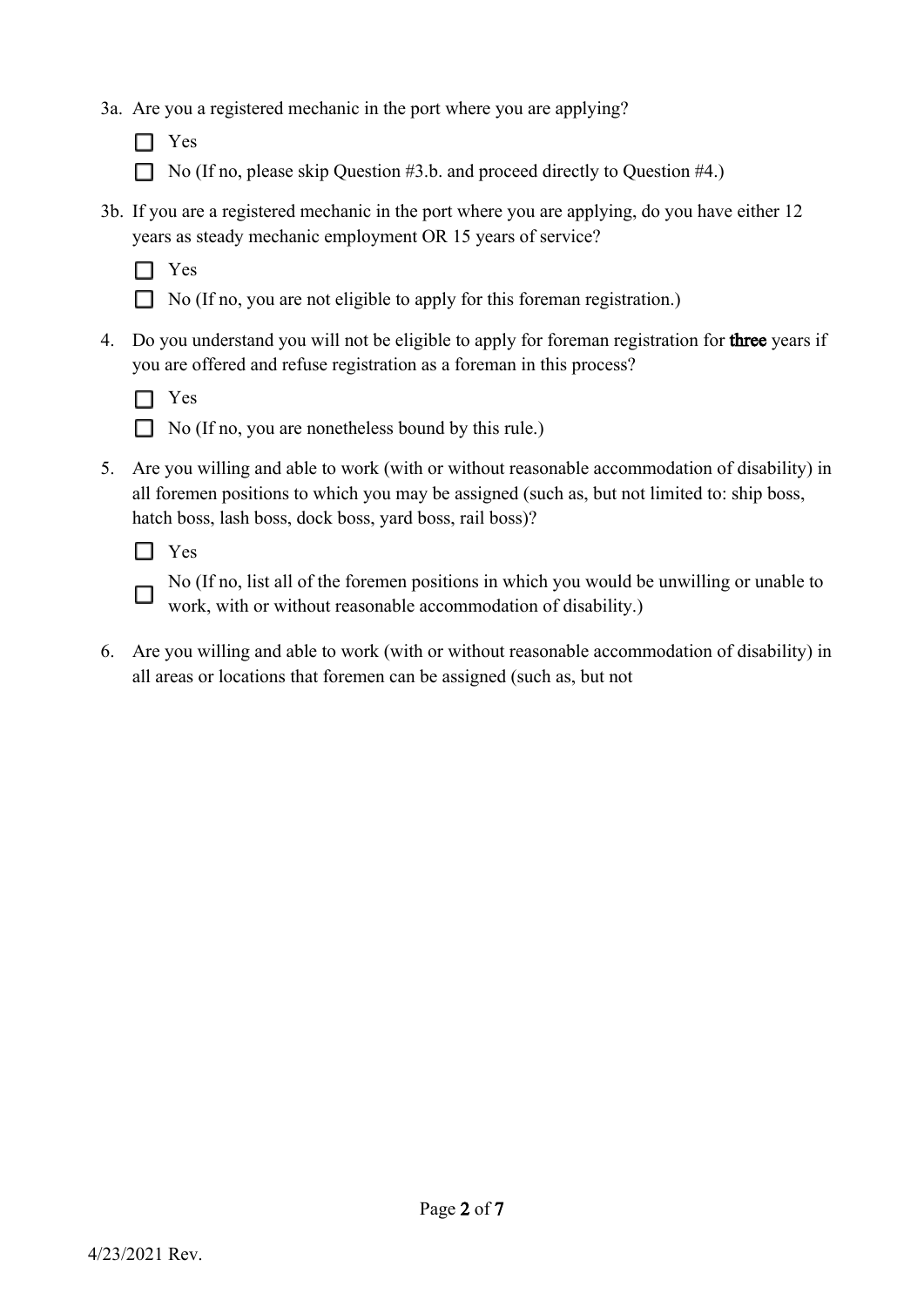- 3a. Are you a registered mechanic in the port where you are applying?
	- □ Yes
	- No (If no, please skip Question #3.b. and proceed directly to Question #4.)
- 3b. If you are a registered mechanic in the port where you are applying, do you have either 12 years as steady mechanic employment OR 15 years of service?



- □ No (If no, you are not eligible to apply for this foreman registration.)
- 4. Do you understand you will not be eligible to apply for foreman registration for **three** years if you are offered and refuse registration as a foreman in this process?



- $\Box$  No (If no, you are nonetheless bound by this rule.)
- 5. Are you willing and able to work (with or without reasonable accommodation of disability) in all foremen positions to which you may be assigned (such as, but not limited to: ship boss, hatch boss, lash boss, dock boss, yard boss, rail boss)?



П

No (If no, list all of the foremen positions in which you would be unwilling or unable to work, with or without reasonable accommodation of disability.)

6. Are you willing and able to work (with or without reasonable accommodation of disability) in all areas or locations that foremen can be assigned (such as, but not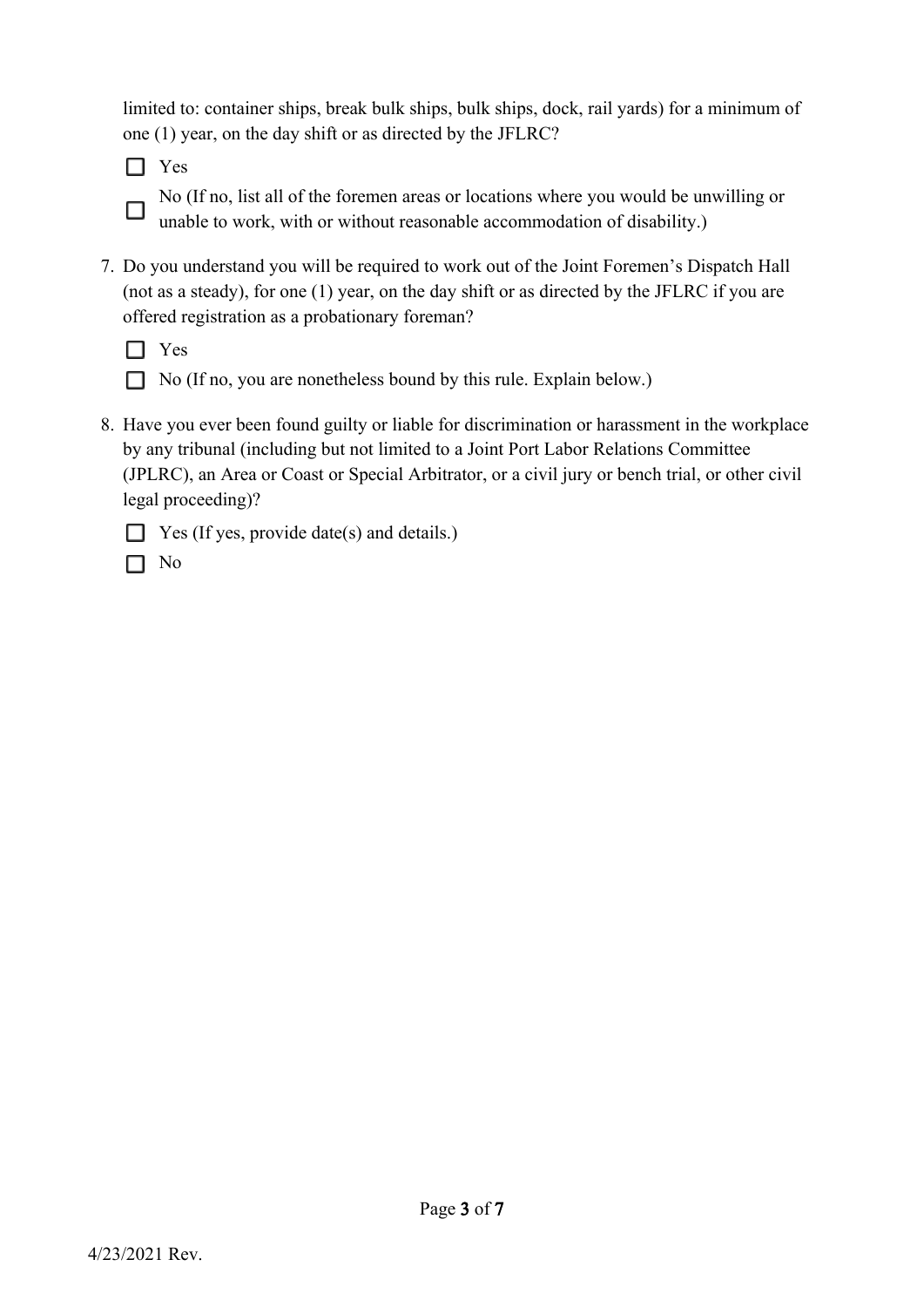limited to: container ships, break bulk ships, bulk ships, dock, rail yards) for a minimum of one (1) year, on the day shift or as directed by the JFLRC?

 $\Box$  Yes

□

No (If no, list all of the foremen areas or locations where you would be unwilling or unable to work, with or without reasonable accommodation of disability.)

7. Do you understand you will be required to work out of the Joint Foremen's Dispatch Hall (not as a steady), for one (1) year, on the day shift or as directed by the JFLRC if you are offered registration as a probationary foreman?



 $\Box$  No (If no, you are nonetheless bound by this rule. Explain below.)

8. Have you ever been found guilty or liable for discrimination or harassment in the workplace by any tribunal (including but not limited to a Joint Port Labor Relations Committee (JPLRC), an Area or Coast or Special Arbitrator, or a civil jury or bench trial, or other civil legal proceeding)?



|--|--|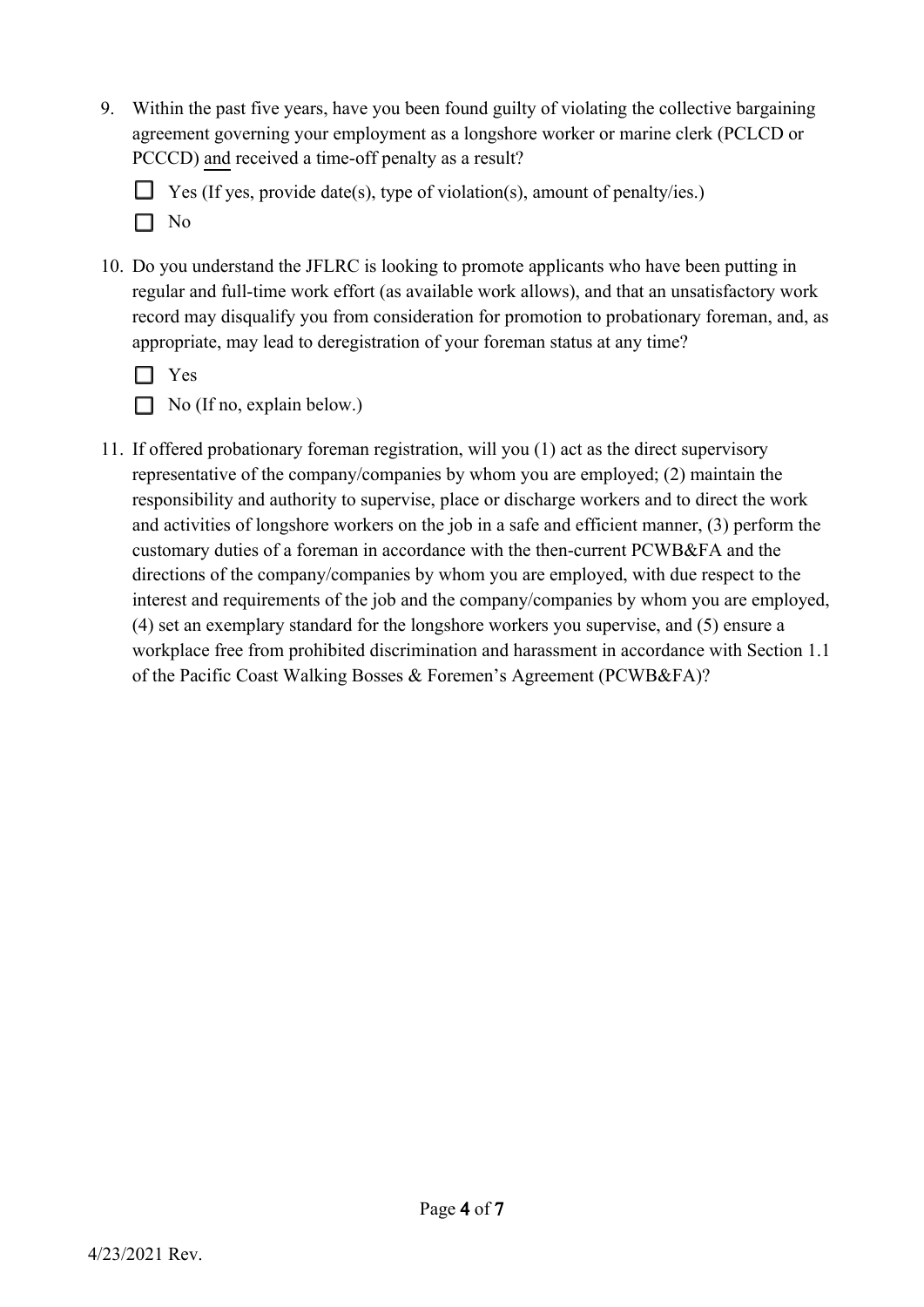9. Within the past five years, have you been found guilty of violating the collective bargaining agreement governing your employment as a longshore worker or marine clerk (PCLCD or PCCCD) and received a time-off penalty as a result?

 $\Box$  Yes (If yes, provide date(s), type of violation(s), amount of penalty/ies.)  $\Box$  No

10. Do you understand the JFLRC is looking to promote applicants who have been putting in regular and full-time work effort (as available work allows), and that an unsatisfactory work record may disqualify you from consideration for promotion to probationary foreman, and, as appropriate, may lead to deregistration of your foreman status at any time?

|--|

 $\Box$  No (If no, explain below.)

11. If offered probationary foreman registration, will you (1) act as the direct supervisory representative of the company/companies by whom you are employed; (2) maintain the responsibility and authority to supervise, place or discharge workers and to direct the work and activities of longshore workers on the job in a safe and efficient manner, (3) perform the customary duties of a foreman in accordance with the then-current PCWB&FA and the directions of the company/companies by whom you are employed, with due respect to the interest and requirements of the job and the company/companies by whom you are employed, (4) set an exemplary standard for the longshore workers you supervise, and (5) ensure a workplace free from prohibited discrimination and harassment in accordance with Section 1.1 of the Pacific Coast Walking Bosses & Foremen's Agreement (PCWB&FA)?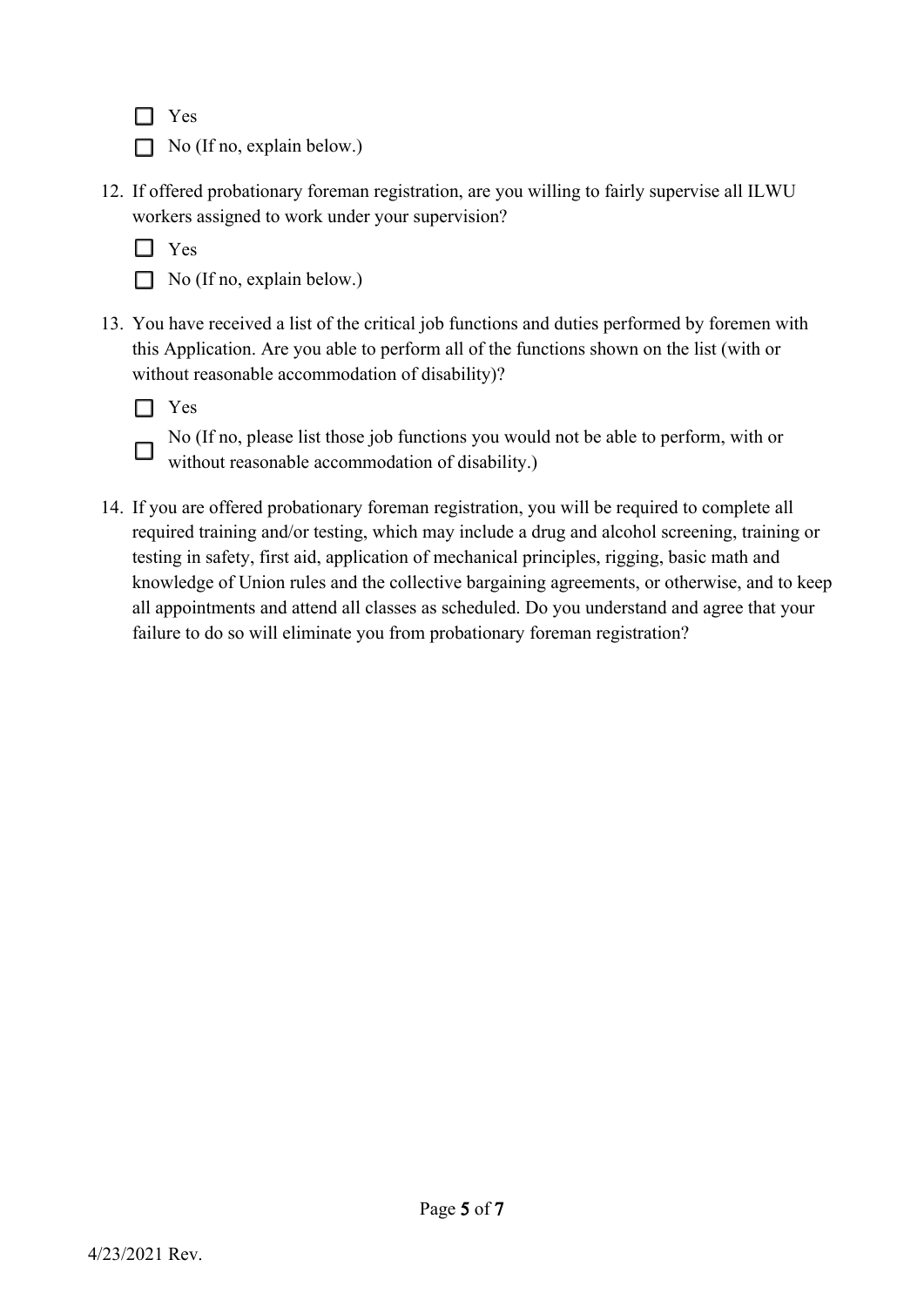$\Box$  Yes

- $\Box$  No (If no, explain below.)
- 12. If offered probationary foreman registration, are you willing to fairly supervise all ILWU workers assigned to work under your supervision?

 $\Box$  Yes

 $\Box$  No (If no, explain below.)

13. You have received a list of the critical job functions and duties performed by foremen with this Application. Are you able to perform all of the functions shown on the list (with or without reasonable accommodation of disability)?



П

No (If no, please list those job functions you would not be able to perform, with or without reasonable accommodation of disability.)

14. If you are offered probationary foreman registration, you will be required to complete all required training and/or testing, which may include a drug and alcohol screening, training or testing in safety, first aid, application of mechanical principles, rigging, basic math and knowledge of Union rules and the collective bargaining agreements, or otherwise, and to keep all appointments and attend all classes as scheduled. Do you understand and agree that your failure to do so will eliminate you from probationary foreman registration?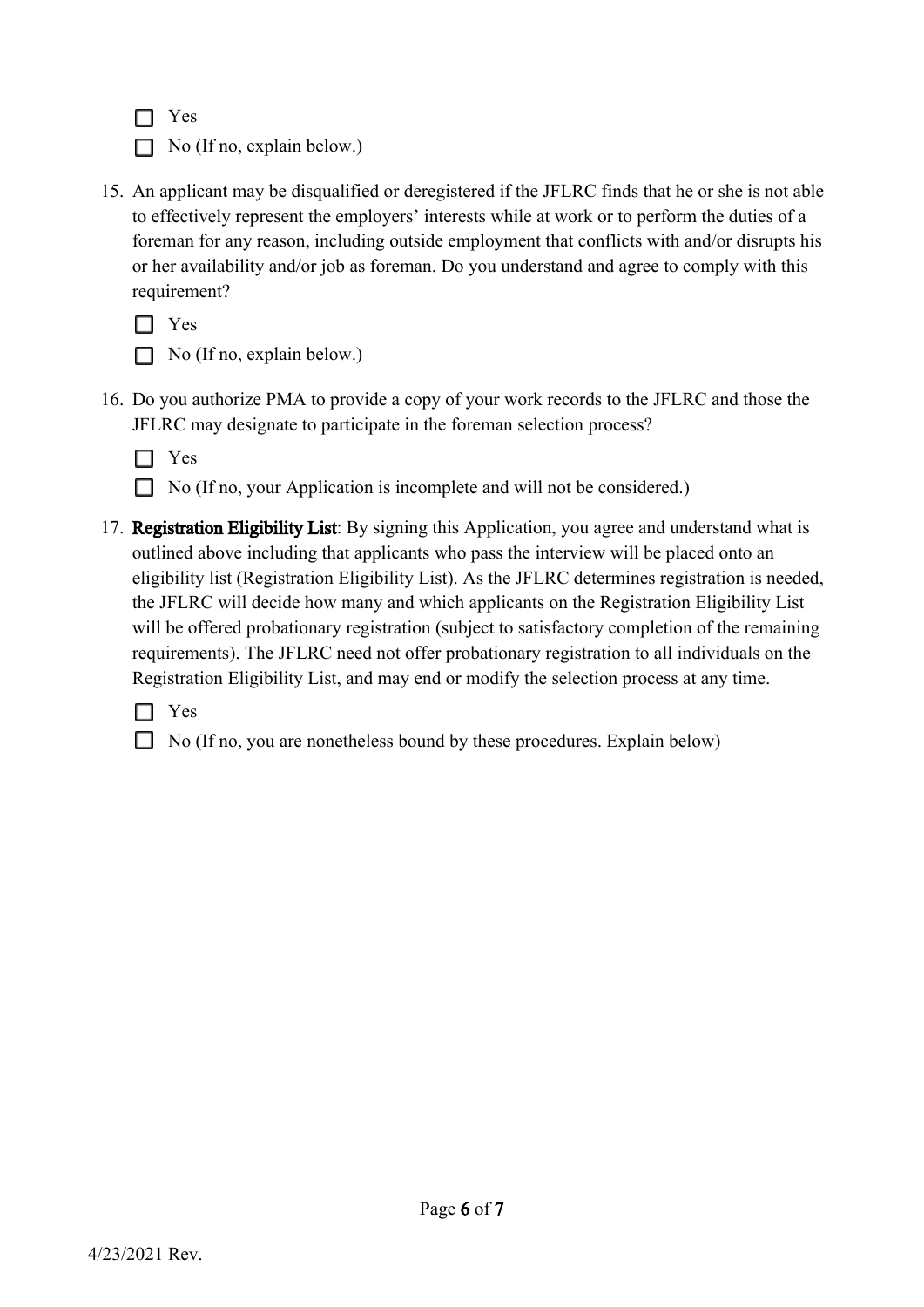$\Box$  Yes

 $\Box$  No (If no, explain below.)

15. An applicant may be disqualified or deregistered if the JFLRC finds that he or she is not able to effectively represent the employers' interests while at work or to perform the duties of a foreman for any reason, including outside employment that conflicts with and/or disrupts his or her availability and/or job as foreman. Do you understand and agree to comply with this requirement?

□ Yes

- $\Box$  No (If no, explain below.)
- 16. Do you authorize PMA to provide a copy of your work records to the JFLRC and those the JFLRC may designate to participate in the foreman selection process?



- $\Box$  No (If no, your Application is incomplete and will not be considered.)
- 17. Registration Eligibility List: By signing this Application, you agree and understand what is outlined above including that applicants who pass the interview will be placed onto an eligibility list (Registration Eligibility List). As the JFLRC determines registration is needed, the JFLRC will decide how many and which applicants on the Registration Eligibility List will be offered probationary registration (subject to satisfactory completion of the remaining requirements). The JFLRC need not offer probationary registration to all individuals on the Registration Eligibility List, and may end or modify the selection process at any time.

□ Yes

No (If no, you are nonetheless bound by these procedures. Explain below)